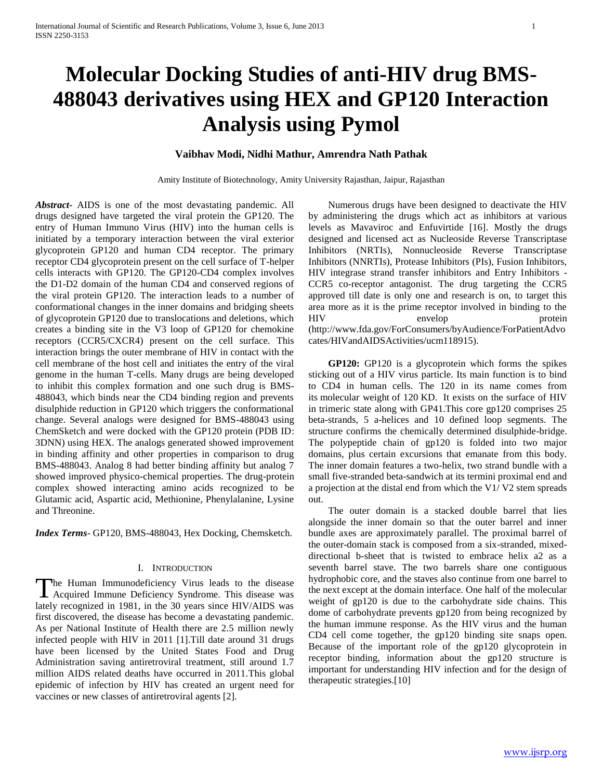# **Molecular Docking Studies of anti-HIV drug BMS-488043 derivatives using HEX and GP120 Interaction Analysis using Pymol**

# **Vaibhav Modi, Nidhi Mathur, Amrendra Nath Pathak**

Amity Institute of Biotechnology, Amity University Rajasthan, Jaipur, Rajasthan

*Abstract***-** AIDS is one of the most devastating pandemic. All drugs designed have targeted the viral protein the GP120. The entry of Human Immuno Virus (HIV) into the human cells is initiated by a temporary interaction between the viral exterior glycoprotein GP120 and human CD4 receptor. The primary receptor CD4 glycoprotein present on the cell surface of T-helper cells interacts with GP120. The GP120-CD4 complex involves the D1-D2 domain of the human CD4 and conserved regions of the viral protein GP120. The interaction leads to a number of conformational changes in the inner domains and bridging sheets of glycoprotein GP120 due to translocations and deletions, which creates a binding site in the V3 loop of GP120 for chemokine receptors (CCR5/CXCR4) present on the cell surface. This interaction brings the outer membrane of HIV in contact with the cell membrane of the host cell and initiates the entry of the viral genome in the human T-cells. Many drugs are being developed to inhibit this complex formation and one such drug is BMS-488043, which binds near the CD4 binding region and prevents disulphide reduction in GP120 which triggers the conformational change. Several analogs were designed for BMS-488043 using ChemSketch and were docked with the GP120 protein (PDB ID: 3DNN) using HEX. The analogs generated showed improvement in binding affinity and other properties in comparison to drug BMS-488043. Analog 8 had better binding affinity but analog 7 showed improved physico-chemical properties. The drug-protein complex showed interacting amino acids recognized to be Glutamic acid, Aspartic acid, Methionine, Phenylalanine, Lysine and Threonine.

*Index Terms*- GP120, BMS-488043, Hex Docking, Chemsketch.

## I. INTRODUCTION

he Human Immunodeficiency Virus leads to the disease The Human Immunodeficiency Virus leads to the disease Acquired Immune Deficiency Syndrome. This disease was lately recognized in 1981, in the 30 years since HIV/AIDS was first discovered, the disease has become a devastating pandemic. As per National Institute of Health there are 2.5 million newly infected people with HIV in 2011 [1].Till date around 31 drugs have been licensed by the United States Food and Drug Administration saving antiretroviral treatment, still around 1.7 million AIDS related deaths have occurred in 2011.This global epidemic of infection by HIV has created an urgent need for vaccines or new classes of antiretroviral agents [2].

 Numerous drugs have been designed to deactivate the HIV by administering the drugs which act as inhibitors at various levels as Mavaviroc and Enfuvirtide [16]. Mostly the drugs designed and licensed act as Nucleoside Reverse Transcriptase Inhibitors (NRTIs), Nonnucleoside Reverse Transcriptase Inhibitors (NNRTIs), Protease Inhibitors (PIs), Fusion Inhibitors, HIV integrase strand transfer inhibitors and Entry Inhibitors - CCR5 co-receptor antagonist. The drug targeting the CCR5 approved till date is only one and research is on, to target this area more as it is the prime receptor involved in binding to the HIV envelop protein (http://www.fda.gov/ForConsumers/byAudience/ForPatientAdvo cates/HIVandAIDSActivities/ucm118915).

 **GP120:** GP120 is a glycoprotein which forms the spikes sticking out of a HIV virus particle. Its main function is to bind to CD4 in human cells. The 120 in its name comes from its molecular weight of 120 KD. It exists on the surface of HIV in trimeric state along with GP41.This core gp120 comprises 25 beta-strands, 5 a-helices and 10 defined loop segments. The structure confirms the chemically determined disulphide-bridge. The polypeptide chain of gp120 is folded into two major domains, plus certain excursions that emanate from this body. The inner domain features a two-helix, two strand bundle with a small five-stranded beta-sandwich at its termini proximal end and a projection at the distal end from which the V1/ V2 stem spreads out.

 The outer domain is a stacked double barrel that lies alongside the inner domain so that the outer barrel and inner bundle axes are approximately parallel. The proximal barrel of the outer-domain stack is composed from a six-stranded, mixeddirectional b-sheet that is twisted to embrace helix a2 as a seventh barrel stave. The two barrels share one contiguous hydrophobic core, and the staves also continue from one barrel to the next except at the domain interface. One half of the molecular weight of gp120 is due to the carbohydrate side chains. This dome of carbohydrate prevents gp120 from being recognized by the human immune response. As the HIV virus and the human CD4 cell come together, the gp120 binding site snaps open. Because of the important role of the gp120 glycoprotein in receptor binding, information about the gp120 structure is important for understanding HIV infection and for the design of therapeutic strategies.[10]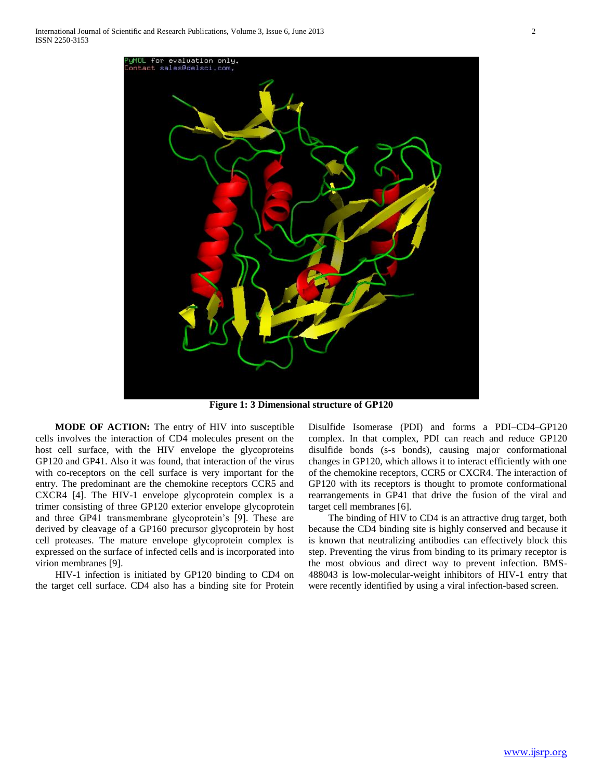

**Figure 1: 3 Dimensional structure of GP120**

 **MODE OF ACTION:** The entry of HIV into susceptible cells involves the interaction of CD4 molecules present on the host cell surface, with the HIV envelope the glycoproteins GP120 and GP41. Also it was found, that interaction of the virus with co-receptors on the cell surface is very important for the entry. The predominant are the chemokine receptors CCR5 and CXCR4 [4]. The HIV-1 envelope glycoprotein complex is a trimer consisting of three GP120 exterior envelope glycoprotein and three GP41 transmembrane glycoprotein's [9]. These are derived by cleavage of a GP160 precursor glycoprotein by host cell proteases. The mature envelope glycoprotein complex is expressed on the surface of infected cells and is incorporated into virion membranes [9].

 HIV-1 infection is initiated by GP120 binding to CD4 on the target cell surface. CD4 also has a binding site for Protein Disulfide Isomerase (PDI) and forms a PDI–CD4–GP120 complex. In that complex, PDI can reach and reduce GP120 disulfide bonds (s-s bonds), causing major conformational changes in GP120, which allows it to interact efficiently with one of the chemokine receptors, CCR5 or CXCR4. The interaction of GP120 with its receptors is thought to promote conformational rearrangements in GP41 that drive the fusion of the viral and target cell membranes [6].

 The binding of HIV to CD4 is an attractive drug target, both because the CD4 binding site is highly conserved and because it is known that neutralizing antibodies can effectively block this step. Preventing the virus from binding to its primary receptor is the most obvious and direct way to prevent infection. BMS-488043 is low-molecular-weight inhibitors of HIV-1 entry that were recently identified by using a viral infection-based screen.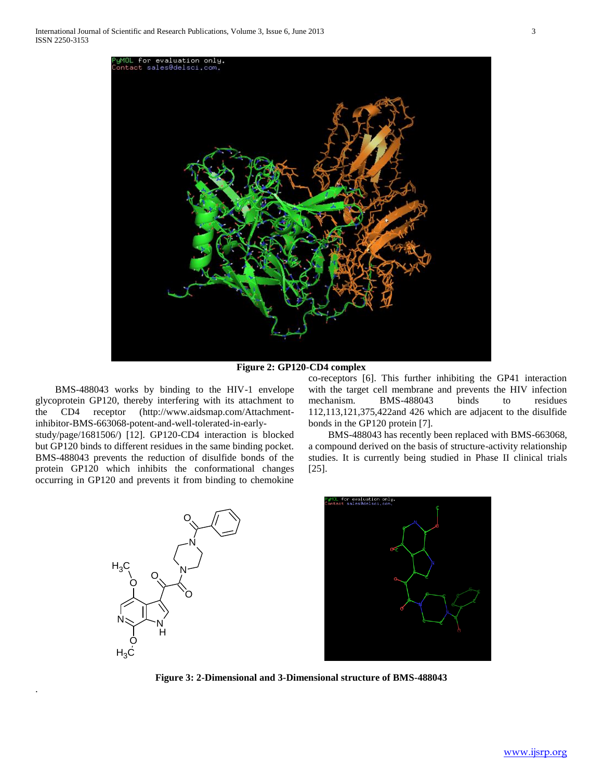

**Figure 2: GP120-CD4 complex**

 BMS-488043 works by binding to the HIV-1 envelope glycoprotein GP120, thereby interfering with its attachment to the CD4 receptor (http://www.aidsmap.com/Attachmentinhibitor-BMS-663068-potent-and-well-tolerated-in-earlystudy/page/1681506/) [12]. GP120-CD4 interaction is blocked but GP120 binds to different residues in the same binding pocket. BMS-488043 prevents the reduction of disulfide bonds of the protein GP120 which inhibits the conformational changes occurring in GP120 and prevents it from binding to chemokine

co-receptors [6]. This further inhibiting the GP41 interaction with the target cell membrane and prevents the HIV infection mechanism. BMS-488043 binds to residues 112,113,121,375,422and 426 which are adjacent to the disulfide bonds in the GP120 protein [7].

 BMS-488043 has recently been replaced with BMS-663068, a compound derived on the basis of structure-activity relationship studies. It is currently being studied in Phase II clinical trials [25].



.



**Figure 3: 2-Dimensional and 3-Dimensional structure of BMS-488043**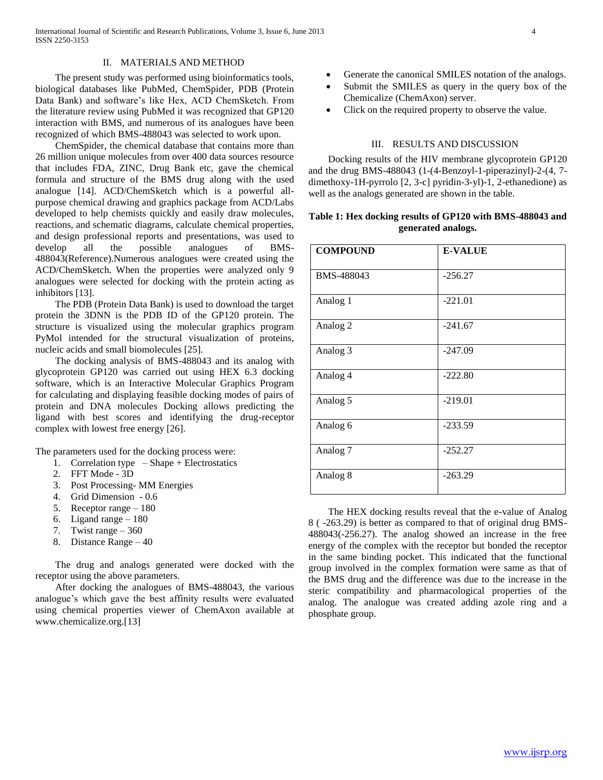## II. MATERIALS AND METHOD

 The present study was performed using bioinformatics tools, biological databases like PubMed, ChemSpider, PDB (Protein Data Bank) and software's like Hex, ACD ChemSketch. From the literature review using PubMed it was recognized that GP120 interaction with BMS, and numerous of its analogues have been recognized of which BMS-488043 was selected to work upon.

 ChemSpider, the chemical database that contains more than 26 million unique molecules from over 400 data sources resource that includes FDA, ZINC, Drug Bank etc, gave the chemical formula and structure of the BMS drug along with the used analogue [14]. ACD/ChemSketch which is a powerful allpurpose chemical drawing and graphics package from ACD/Labs developed to help chemists quickly and easily draw molecules, reactions, and schematic diagrams, calculate chemical properties, and design professional reports and presentations, was used to develop all the possible analogues of BMS-488043(Reference).Numerous analogues were created using the ACD/ChemSketch. When the properties were analyzed only 9 analogues were selected for docking with the protein acting as inhibitors [13].

 The PDB (Protein Data Bank) is used to download the target protein the 3DNN is the PDB ID of the GP120 protein. The structure is visualized using the molecular graphics program PyMol intended for the structural visualization of proteins, nucleic acids and small biomolecules [25].

 The docking analysis of BMS-488043 and its analog with glycoprotein GP120 was carried out using HEX 6.3 docking software, which is an Interactive Molecular Graphics Program for calculating and displaying feasible docking modes of pairs of protein and DNA molecules Docking allows predicting the ligand with best scores and identifying the drug-receptor complex with lowest free energy [26].

The parameters used for the docking process were:

- 1. Correlation type Shape + Electrostatics
- 2. FFT Mode 3D
- 3. Post Processing- MM Energies
- 4. Grid Dimension 0.6
- 5. Receptor range 180
- 6. Ligand range  $-180$
- 7. Twist range 360
- 8. Distance Range 40

 The drug and analogs generated were docked with the receptor using the above parameters.

 After docking the analogues of BMS-488043, the various analogue's which gave the best affinity results were evaluated using chemical properties viewer of ChemAxon available at www.chemicalize.org.[13]

- Generate the canonical SMILES notation of the analogs.
- Submit the SMILES as query in the query box of the Chemicalize (ChemAxon) server.
- Click on the required property to observe the value.

## III. RESULTS AND DISCUSSION

 Docking results of the HIV membrane glycoprotein GP120 and the drug BMS-488043 (1-(4-Benzoyl-1-piperazinyl)-2-(4, 7 dimethoxy-1H-pyrrolo [2, 3-c] pyridin-3-yl)-1, 2-ethanedione) as well as the analogs generated are shown in the table.

# **Table 1: Hex docking results of GP120 with BMS-488043 and generated analogs.**

| <b>COMPOUND</b>     | <b>E-VALUE</b> |
|---------------------|----------------|
| BMS-488043          | $-256.27$      |
| Analog 1            | $-221.01$      |
| Analog <sub>2</sub> | $-241.67$      |
| Analog 3            | $-247.09$      |
| Analog 4            | $-222.80$      |
| Analog 5            | $-219.01$      |
| Analog 6            | $-233.59$      |
| Analog <sub>7</sub> | $-252.27$      |
| Analog 8            | $-263.29$      |

 The HEX docking results reveal that the e-value of Analog 8 ( -263.29) is better as compared to that of original drug BMS-488043(-256.27). The analog showed an increase in the free energy of the complex with the receptor but bonded the receptor in the same binding pocket. This indicated that the functional group involved in the complex formation were same as that of the BMS drug and the difference was due to the increase in the steric compatibility and pharmacological properties of the analog. The analogue was created adding azole ring and a phosphate group.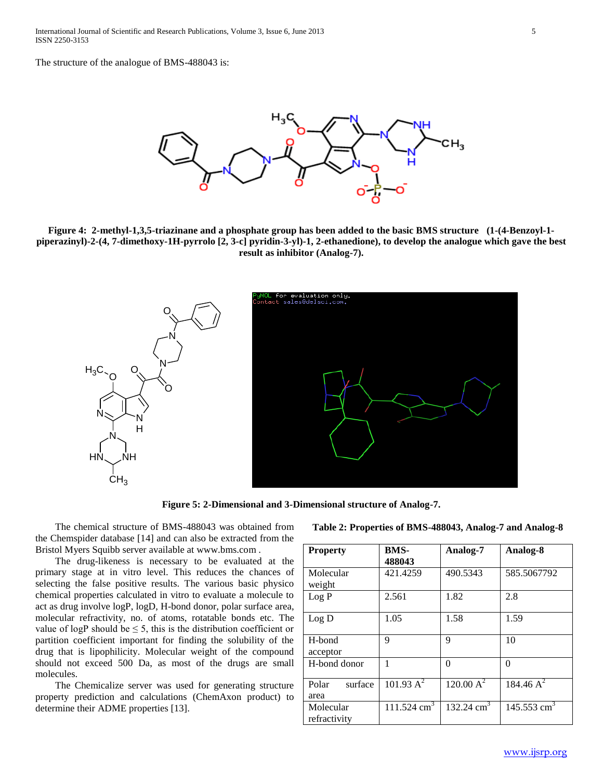The structure of the analogue of BMS-488043 is:



**Figure 4: 2-methyl-1,3,5-triazinane and a phosphate group has been added to the basic BMS structure (1-(4-Benzoyl-1 piperazinyl)-2-(4, 7-dimethoxy-1H-pyrrolo [2, 3-c] pyridin-3-yl)-1, 2-ethanedione), to develop the analogue which gave the best result as inhibitor (Analog-7).**



**Figure 5: 2-Dimensional and 3-Dimensional structure of Analog-7.**

 The chemical structure of BMS-488043 was obtained from the Chemspider database [14] and can also be extracted from the Bristol Myers Squibb server available at www.bms.com .

 The drug-likeness is necessary to be evaluated at the primary stage at in vitro level. This reduces the chances of selecting the false positive results. The various basic physico chemical properties calculated in vitro to evaluate a molecule to act as drug involve logP, logD, H-bond donor, polar surface area, molecular refractivity, no. of atoms, rotatable bonds etc. The value of logP should be  $\leq$  5, this is the distribution coefficient or partition coefficient important for finding the solubility of the drug that is lipophilicity. Molecular weight of the compound should not exceed 500 Da, as most of the drugs are small molecules.

 The Chemicalize server was used for generating structure property prediction and calculations (ChemAxon product) to determine their ADME properties [13].

| Table 2: Properties of BMS-488043, Analog-7 and Analog-8 |
|----------------------------------------------------------|
|                                                          |

| <b>Property</b>           | BMS-<br>488043         | Analog-7              | Analog-8                  |
|---------------------------|------------------------|-----------------------|---------------------------|
| Molecular<br>weight       | 421.4259               | 490.5343              | 585.5067792               |
| Log P                     | 2.561                  | 1.82                  | 2.8                       |
| Log D                     | 1.05                   | 1.58                  | 1.59                      |
| H-bond<br>acceptor        | 9                      | 9                     | 10                        |
| H-bond donor              |                        | 0                     | 0                         |
| Polar<br>surface<br>area  | 101.93 A <sup>2</sup>  | 120.00 A <sup>2</sup> | 184.46 $A^2$              |
| Molecular<br>refractivity | $111.524 \text{ cm}^3$ | 132.24 $cm3$          | $145.553$ cm <sup>3</sup> |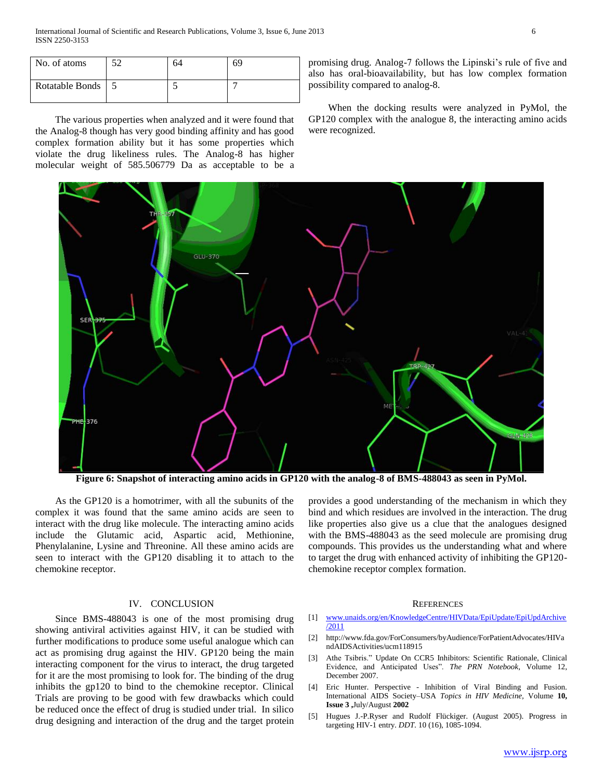| No. of atoms        | $\epsilon$ | 64 | 69 |
|---------------------|------------|----|----|
| Rotatable Bonds   5 |            |    |    |

 The various properties when analyzed and it were found that the Analog-8 though has very good binding affinity and has good complex formation ability but it has some properties which violate the drug likeliness rules. The Analog-8 has higher molecular weight of 585.506779 Da as acceptable to be a promising drug. Analog-7 follows the Lipinski's rule of five and also has oral-bioavailability, but has low complex formation possibility compared to analog-8.

 When the docking results were analyzed in PyMol, the GP120 complex with the analogue 8, the interacting amino acids were recognized.



**Figure 6: Snapshot of interacting amino acids in GP120 with the analog-8 of BMS-488043 as seen in PyMol.**

 As the GP120 is a homotrimer, with all the subunits of the complex it was found that the same amino acids are seen to interact with the drug like molecule. The interacting amino acids include the Glutamic acid, Aspartic acid, Methionine, Phenylalanine, Lysine and Threonine. All these amino acids are seen to interact with the GP120 disabling it to attach to the chemokine receptor.

## IV. CONCLUSION

 Since BMS-488043 is one of the most promising drug showing antiviral activities against HIV, it can be studied with further modifications to produce some useful analogue which can act as promising drug against the HIV. GP120 being the main interacting component for the virus to interact, the drug targeted for it are the most promising to look for. The binding of the drug inhibits the gp120 to bind to the chemokine receptor. Clinical Trials are proving to be good with few drawbacks which could be reduced once the effect of drug is studied under trial. In silico drug designing and interaction of the drug and the target protein

provides a good understanding of the mechanism in which they bind and which residues are involved in the interaction. The drug like properties also give us a clue that the analogues designed with the BMS-488043 as the seed molecule are promising drug compounds. This provides us the understanding what and where to target the drug with enhanced activity of inhibiting the GP120 chemokine receptor complex formation.

#### **REFERENCES**

- [1] [www.unaids.org/en/KnowledgeCentre/HIVData/EpiUpdate/EpiUpdArchive](http://www.unaids.org/en/KnowledgeCentre/HIVData/EpiUpdate/EpiUpdArchive/2011) [/2011](http://www.unaids.org/en/KnowledgeCentre/HIVData/EpiUpdate/EpiUpdArchive/2011)
- [2] http://www.fda.gov/ForConsumers/byAudience/ForPatientAdvocates/HIVa ndAIDSActivities/ucm118915
- [3] Athe Tsibris." Update On CCR5 Inhibitors: Scientific Rationale, Clinical Evidence, and Anticipated Uses". *The PRN Notebook*, Volume 12, December 2007.
- [4] Eric Hunter. Perspective Inhibition of Viral Binding and Fusion. International AIDS Society–USA *Topics in HIV Medicine,* Volume **10, Issue 3 ,**July/August **2002**
- [5] Hugues J.-P.Ryser and Rudolf Flückiger. (August 2005). Progress in targeting HIV-1 entry. *DDT*. 10 (16), 1085-1094.